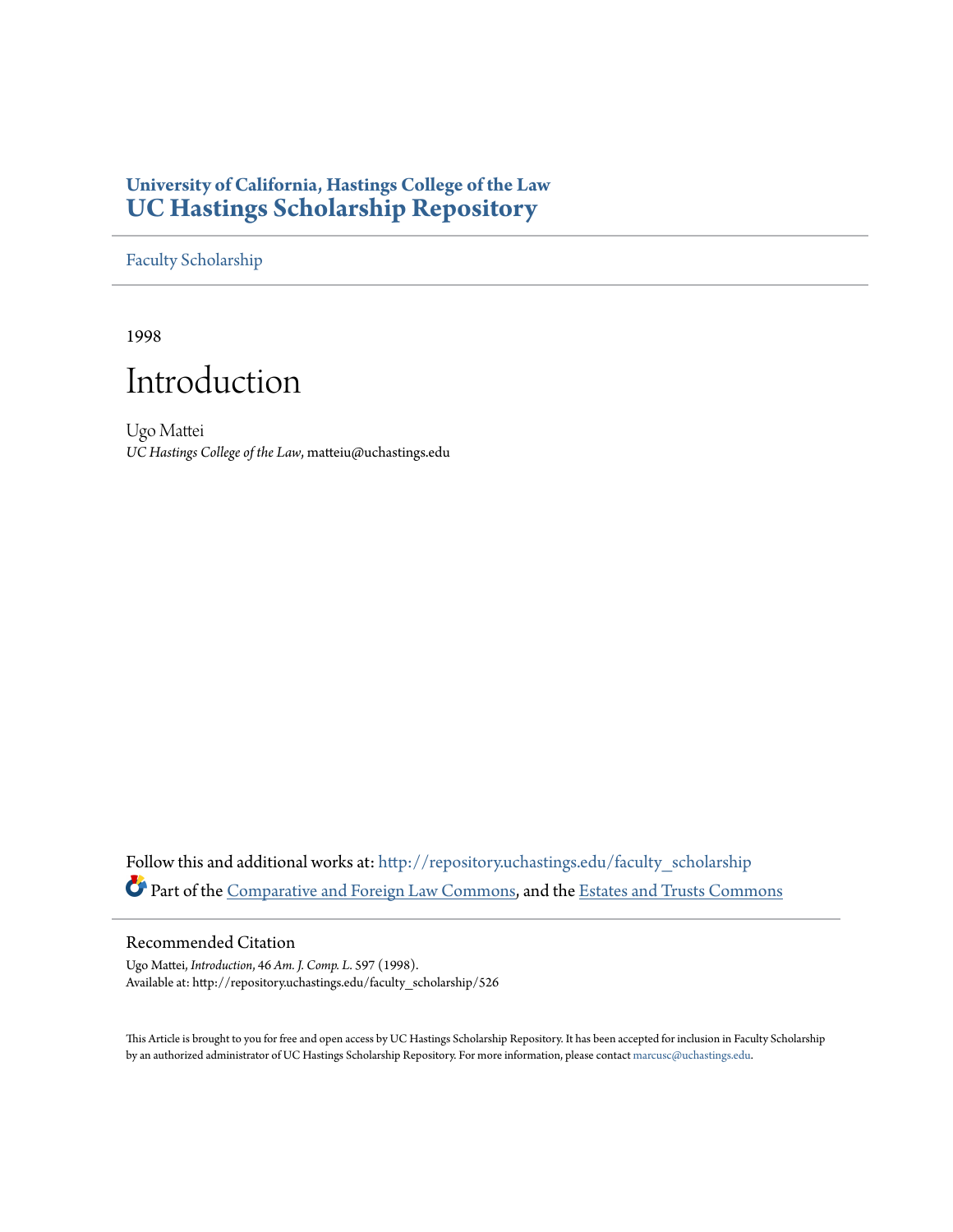## **University of California, Hastings College of the Law [UC Hastings Scholarship Repository](http://repository.uchastings.edu?utm_source=repository.uchastings.edu%2Ffaculty_scholarship%2F526&utm_medium=PDF&utm_campaign=PDFCoverPages)**

[Faculty Scholarship](http://repository.uchastings.edu/faculty_scholarship?utm_source=repository.uchastings.edu%2Ffaculty_scholarship%2F526&utm_medium=PDF&utm_campaign=PDFCoverPages)

1998

# Introduction

Ugo Mattei *UC Hastings College of the Law*, matteiu@uchastings.edu

Follow this and additional works at: [http://repository.uchastings.edu/faculty\\_scholarship](http://repository.uchastings.edu/faculty_scholarship?utm_source=repository.uchastings.edu%2Ffaculty_scholarship%2F526&utm_medium=PDF&utm_campaign=PDFCoverPages) Part of the [Comparative and Foreign Law Commons](http://network.bepress.com/hgg/discipline/836?utm_source=repository.uchastings.edu%2Ffaculty_scholarship%2F526&utm_medium=PDF&utm_campaign=PDFCoverPages), and the [Estates and Trusts Commons](http://network.bepress.com/hgg/discipline/906?utm_source=repository.uchastings.edu%2Ffaculty_scholarship%2F526&utm_medium=PDF&utm_campaign=PDFCoverPages)

#### Recommended Citation

Ugo Mattei, *Introduction*, 46 *Am. J. Comp. L.* 597 (1998). Available at: http://repository.uchastings.edu/faculty\_scholarship/526

This Article is brought to you for free and open access by UC Hastings Scholarship Repository. It has been accepted for inclusion in Faculty Scholarship by an authorized administrator of UC Hastings Scholarship Repository. For more information, please contact [marcusc@uchastings.edu](mailto:marcusc@uchastings.edu).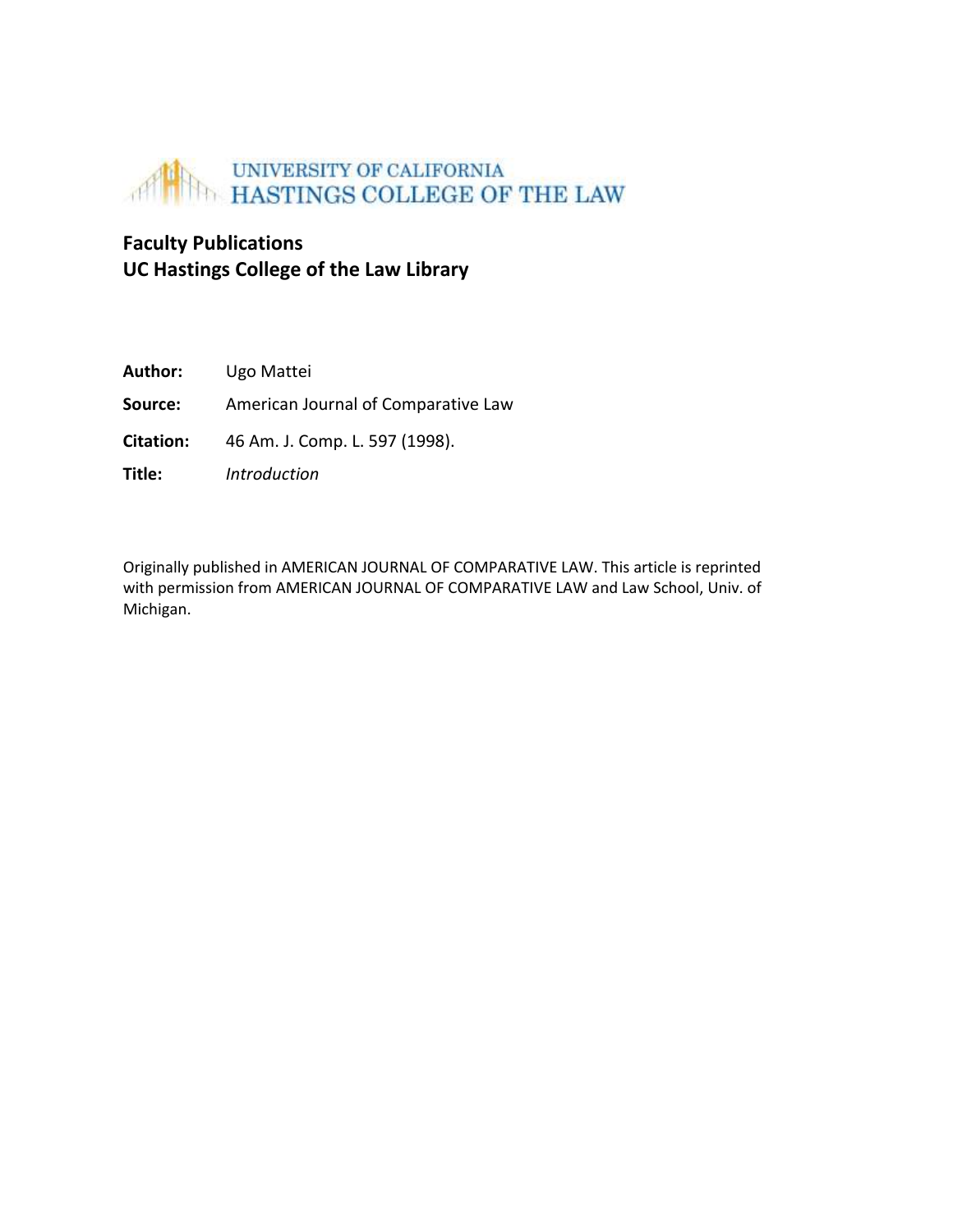

## **Faculty Publications UC Hastings College of the Law Library**

**Author:** Ugo Mattei

**Source:** American Journal of Comparative Law

**Citation:** 46 Am. J. Comp. L. 597 (1998).

**Title:** *Introduction*

Originally published in AMERICAN JOURNAL OF COMPARATIVE LAW. This article is reprinted with permission from AMERICAN JOURNAL OF COMPARATIVE LAW and Law School, Univ. of Michigan.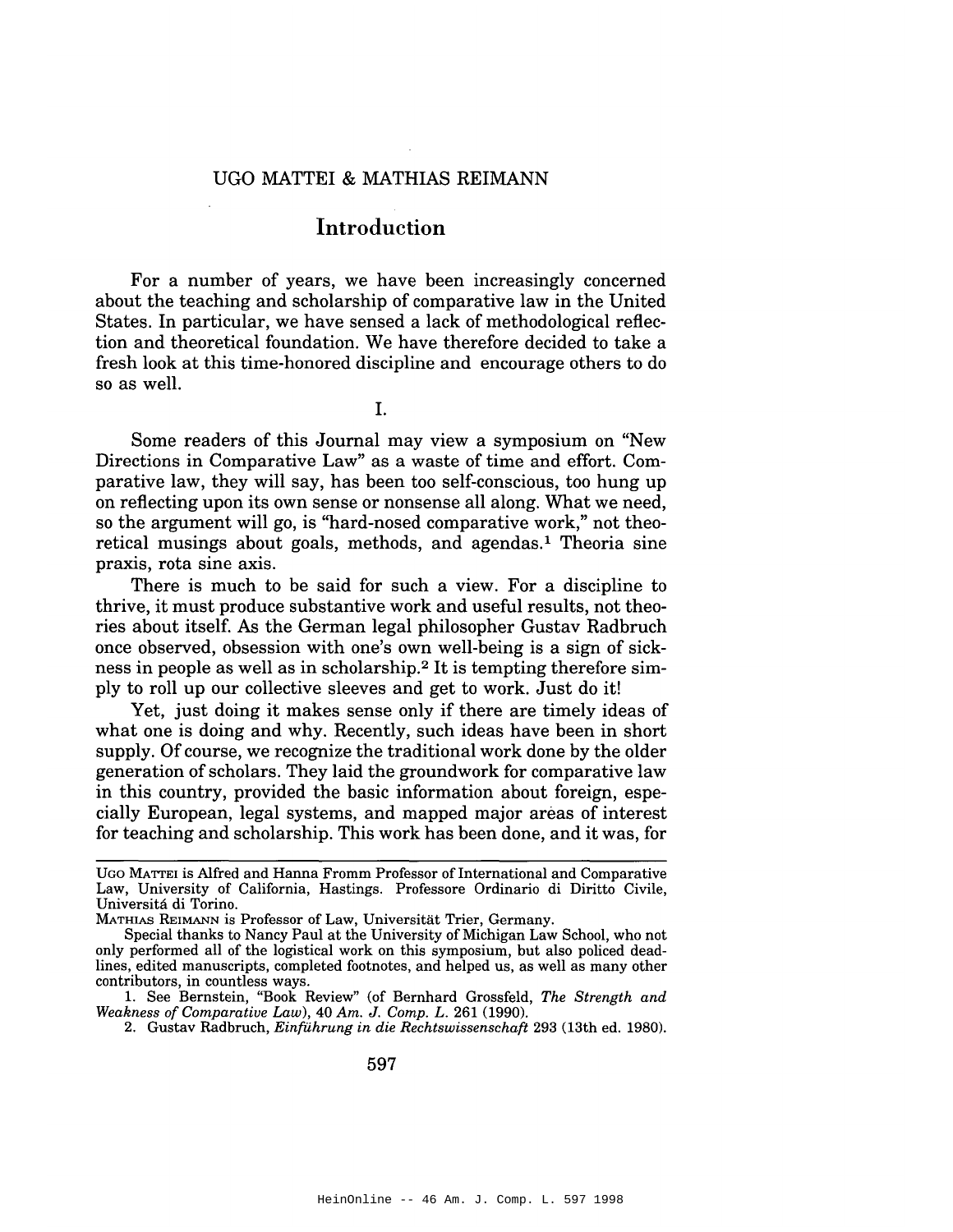#### UGO MATTEI & MATHIAS REIMANN

### Introduction

For a number of years, we have been increasingly concerned about the teaching and scholarship of comparative law in the United States. In particular, we have sensed a lack of methodological reflection and theoretical foundation. We have therefore decided to take a fresh look at this time-honored discipline and encourage others to do so as well.

I.

Some readers of this Journal may view a symposium on "New Directions in Comparative Law" as a waste of time and effort. Comparative law, they will say, has been too self-conscious, too hung up on reflecting upon its own sense or nonsense all along. What we need, so the argument will go, is "hard-nosed comparative work," not theoretical musings about goals, methods, and agendas.<sup>1</sup> Theoria sine praxis, rota sine axis.

There is much to be said for such a view. For a discipline to thrive, it must produce substantive work and useful results, not theories about itself. As the German legal philosopher Gustav Radbruch once observed, obsession with one's own well-being is a sign of sickness in people as well as in scholarship.<sup>2</sup> It is tempting therefore simply to roll up our collective sleeves and get to work. Just do it!

Yet, just doing it makes sense only if there are timely ideas of what one is doing and why. Recently, such ideas have been in short supply. Of course, we recognize the traditional work done by the older generation of scholars. They laid the groundwork for comparative law in this country, provided the basic information about foreign, especially European, legal systems, and mapped major areas of interest for teaching and scholarship. This work has been done, and it was, for

UGO MATTEI is Alfred and Hanna Fromm Professor of International and Comparative Law, University of California, Hastings. Professore Ordinario di Diritto Civile, Universitá di Torino.

MATHIAS REIMANN is Professor of Law, Universität Trier, Germany.

Special thanks to Nancy Paul at the University of Michigan Law School, who not only performed all of the logistical work on this symposium, but also policed deadlines, edited manuscripts, completed footnotes, and helped us, as well as many other contributors, in countless ways.

<sup>1.</sup> See Bernstein, "Book Review" (of Bernhard Grossfeld, The Strength and Weakness of Comparative Law), 40 Am. J. Comp. L. 261 (1990).

<sup>2.</sup> Gustav Radbruch, Einführung in die Rechtswissenschaft 293 (13th ed. 1980).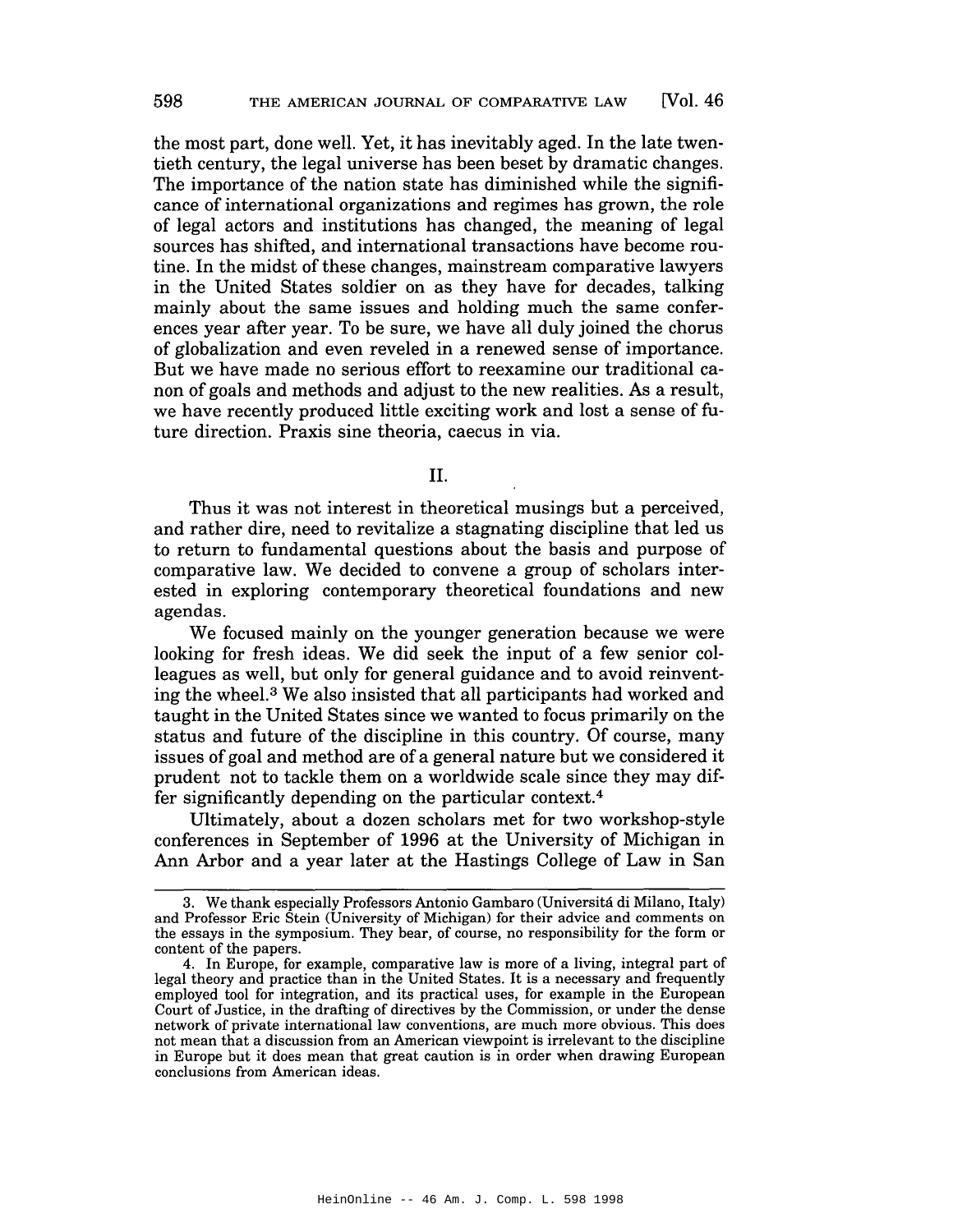the most part, done well. Yet, it has inevitably aged. In the late twentieth century, the legal universe has been beset by dramatic changes. The importance of the nation state has diminished while the significance of international organizations and regimes has grown, the role of legal actors and institutions has changed, the meaning of legal sources has shifted, and international transactions have become routine. In the midst of these changes, mainstream comparative lawvers in the United States soldier on as they have for decades, talking mainly about the same issues and holding much the same conferences year after year. To be sure, we have all duly joined the chorus of globalization and even reveled in a renewed sense of importance. But we have made no serious effort to reexamine our traditional canon of goals and methods and adjust to the new realities. As a result, we have recently produced little exciting work and lost a sense of future direction. Praxis sine theoria, caecus in via.

II.

Thus it was not interest in theoretical musings but a perceived, and rather dire, need to revitalize a stagnating discipline that led us to return to fundamental questions about the basis and purpose of comparative law. We decided to convene a group of scholars interested in exploring contemporary theoretical foundations and new agendas.

We focused mainly on the younger generation because we were looking for fresh ideas. We did seek the input of a few senior colleagues as well, but only for general guidance and to avoid reinventing the wheel.<sup>3</sup> We also insisted that all participants had worked and taught in the United States since we wanted to focus primarily on the status and future of the discipline in this country. Of course, many issues of goal and method are of a general nature but we considered it prudent not to tackle them on a worldwide scale since they may differ significantly depending on the particular context.<sup>4</sup>

Ultimately, about a dozen scholars met for two workshop-style conferences in September of 1996 at the University of Michigan in Ann Arbor and a year later at the Hastings College of Law in San

<sup>3.</sup> We thank especially Professors Antonio Gambaro (Universitá di Milano, Italy) and Professor Eric Stein (University of Michigan) for their advice and comments on the essays in the symposium. They bear, of course, no responsibility for the form or content of the papers.

<sup>4.</sup> In Europe, for example, comparative law is more of a living, integral part of legal theory and practice than in the United States. It is a necessary and frequently employed tool for integration, and its practical uses, for example in the European Court of Justice, in the drafting of directives by the Commission, or under the dense network of private international law conventions, are much more obvious. This does not mean that a discussion from an American viewpoint is irrelevant to the discipline in Europe but it does mean that great caution is in order when drawing European conclusions from American ideas.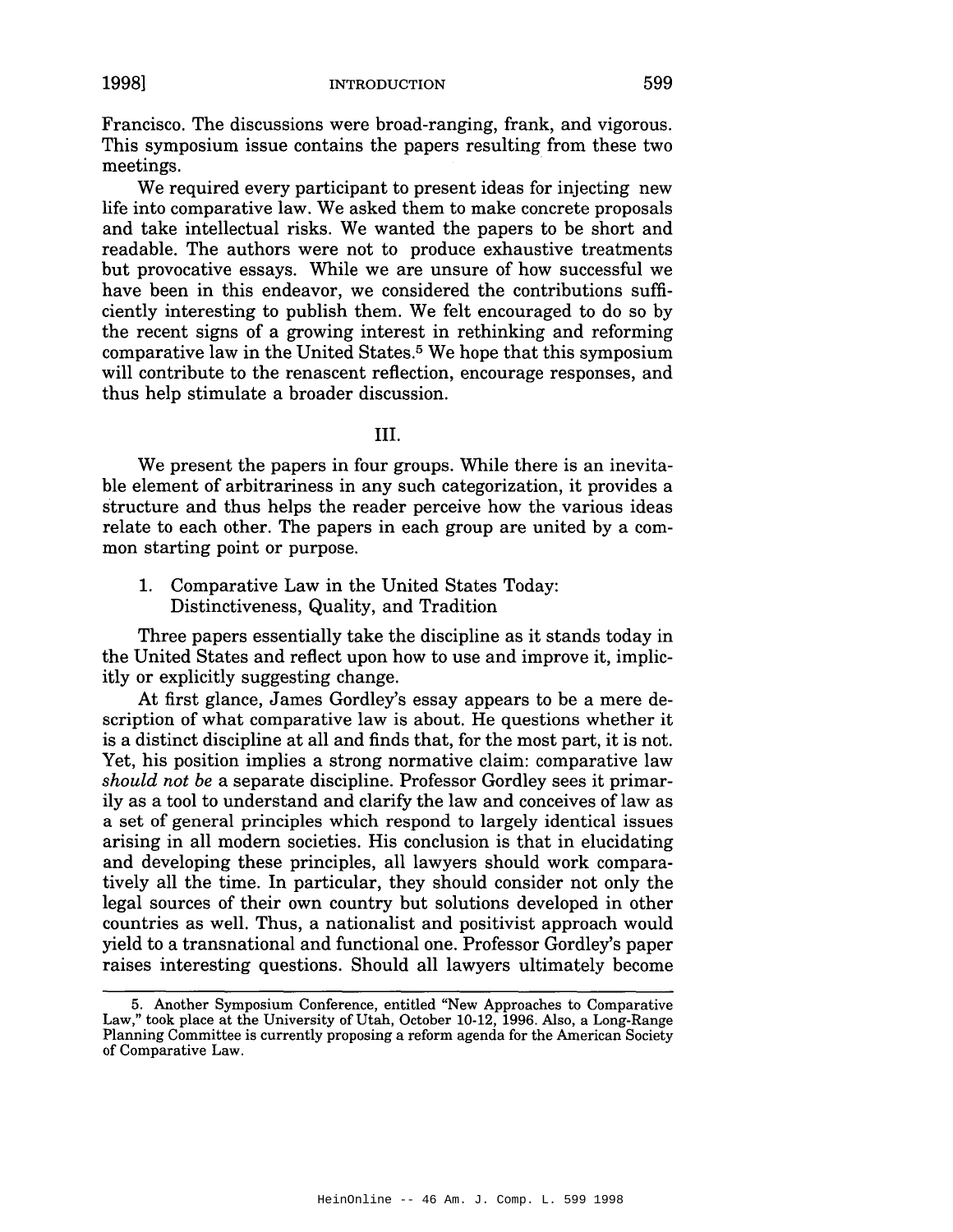Francisco. The discussions were broad-ranging, frank, and vigorous. This symposium issue contains the papers resulting from these two meetings.

We required every participant to present ideas for injecting new life into comparative law. We asked them to make concrete proposals and take intellectual risks. We wanted the papers to be short and readable. The authors were not to produce exhaustive treatments but provocative essays. While we are unsure of how successful we have been in this endeavor, we considered the contributions sufficiently interesting to publish them. We felt encouraged to do so by the recent signs of a growing interest in rethinking and reforming comparative law in the United States.<sup>5</sup> We hope that this symposium will contribute to the renascent reflection, encourage responses, and thus help stimulate a broader discussion.

III.

We present the papers in four groups. While there is an inevitable element of arbitrariness in any such categorization, it provides a structure and thus helps the reader perceive how the various ideas relate to each other. The papers in each group are united by a common starting point or purpose.

Comparative Law in the United States Today:  $1.$ Distinctiveness, Quality, and Tradition

Three papers essentially take the discipline as it stands today in the United States and reflect upon how to use and improve it, implicitly or explicitly suggesting change.

At first glance, James Gordley's essay appears to be a mere description of what comparative law is about. He questions whether it is a distinct discipline at all and finds that, for the most part, it is not. Yet, his position implies a strong normative claim: comparative law should not be a separate discipline. Professor Gordley sees it primarily as a tool to understand and clarify the law and conceives of law as a set of general principles which respond to largely identical issues arising in all modern societies. His conclusion is that in elucidating and developing these principles, all lawyers should work comparatively all the time. In particular, they should consider not only the legal sources of their own country but solutions developed in other countries as well. Thus, a nationalist and positivist approach would yield to a transnational and functional one. Professor Gordley's paper raises interesting questions. Should all lawyers ultimately become

<sup>5.</sup> Another Symposium Conference, entitled "New Approaches to Comparative Law," took place at the University of Utah, October 10-12, 1996. Also, a Long-Range Planning Committee is currently proposing a reform agenda for the American Society of Comparative Law.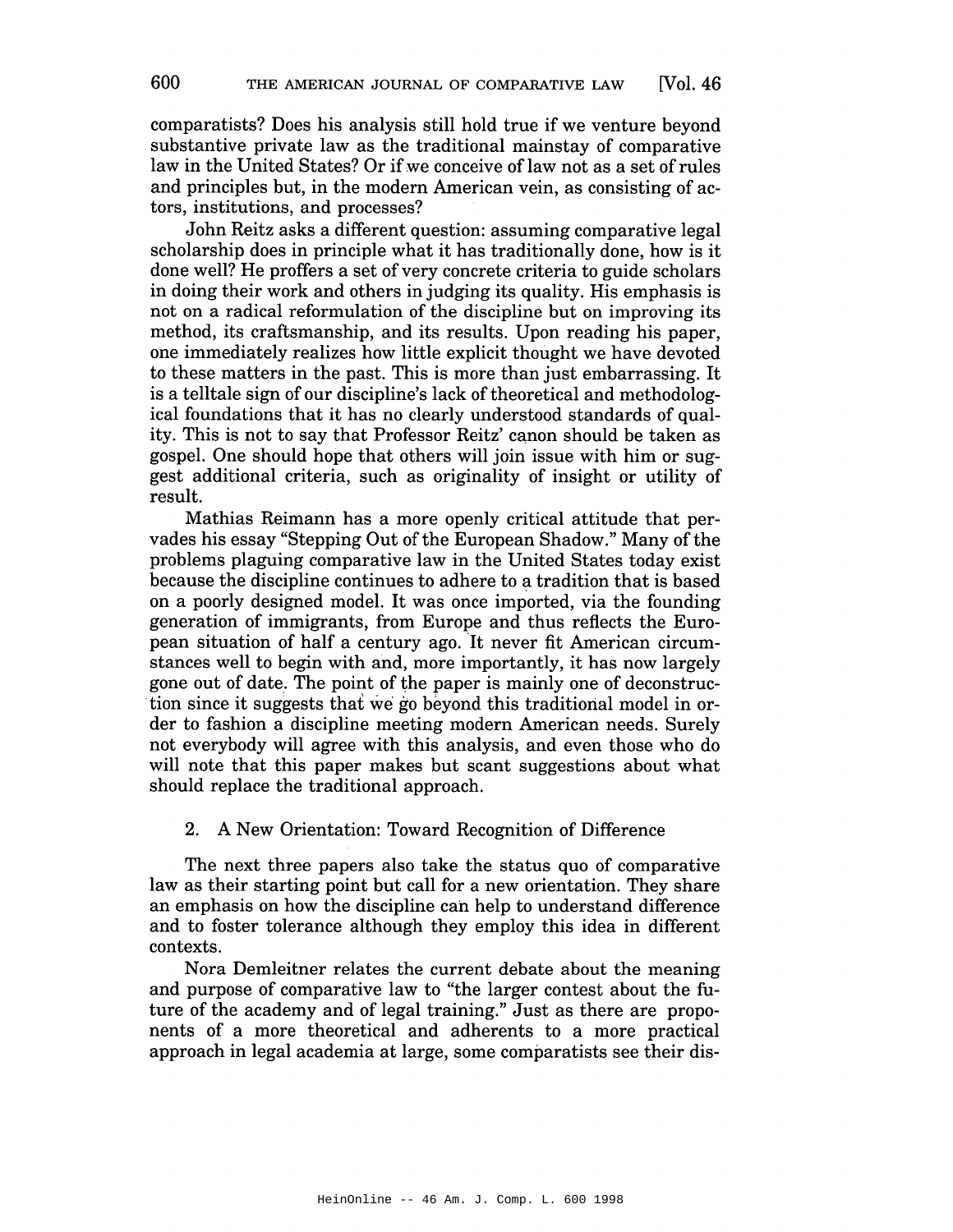comparatists? Does his analysis still hold true if we venture beyond substantive private law as the traditional mainstay of comparative law in the United States? Or if we conceive of law not as a set of rules and principles but, in the modern American vein, as consisting of actors, institutions, and processes?

John Reitz asks a different question: assuming comparative legal scholarship does in principle what it has traditionally done, how is it done well? He proffers a set of very concrete criteria to guide scholars in doing their work and others in judging its quality. His emphasis is not on a radical reformulation of the discipline but on improving its method, its craftsmanship, and its results. Upon reading his paper, one immediately realizes how little explicit thought we have devoted to these matters in the past. This is more than just embarrassing. It is a telltale sign of our discipline's lack of theoretical and methodological foundations that it has no clearly understood standards of quality. This is not to say that Professor Reitz' canon should be taken as gospel. One should hope that others will join issue with him or suggest additional criteria, such as originality of insight or utility of result.

Mathias Reimann has a more openly critical attitude that pervades his essay "Stepping Out of the European Shadow." Many of the problems plaguing comparative law in the United States today exist because the discipline continues to adhere to a tradition that is based on a poorly designed model. It was once imported, via the founding generation of immigrants, from Europe and thus reflects the European situation of half a century ago. It never fit American circumstances well to begin with and, more importantly, it has now largely gone out of date. The point of the paper is mainly one of deconstruction since it suggests that we go beyond this traditional model in order to fashion a discipline meeting modern American needs. Surely not everybody will agree with this analysis, and even those who do will note that this paper makes but scant suggestions about what should replace the traditional approach.

#### 2. A New Orientation: Toward Recognition of Difference

The next three papers also take the status quo of comparative law as their starting point but call for a new orientation. They share an emphasis on how the discipline can help to understand difference and to foster tolerance although they employ this idea in different contexts.

Nora Demleitner relates the current debate about the meaning and purpose of comparative law to "the larger contest about the future of the academy and of legal training." Just as there are proponents of a more theoretical and adherents to a more practical approach in legal academia at large, some comparatists see their dis-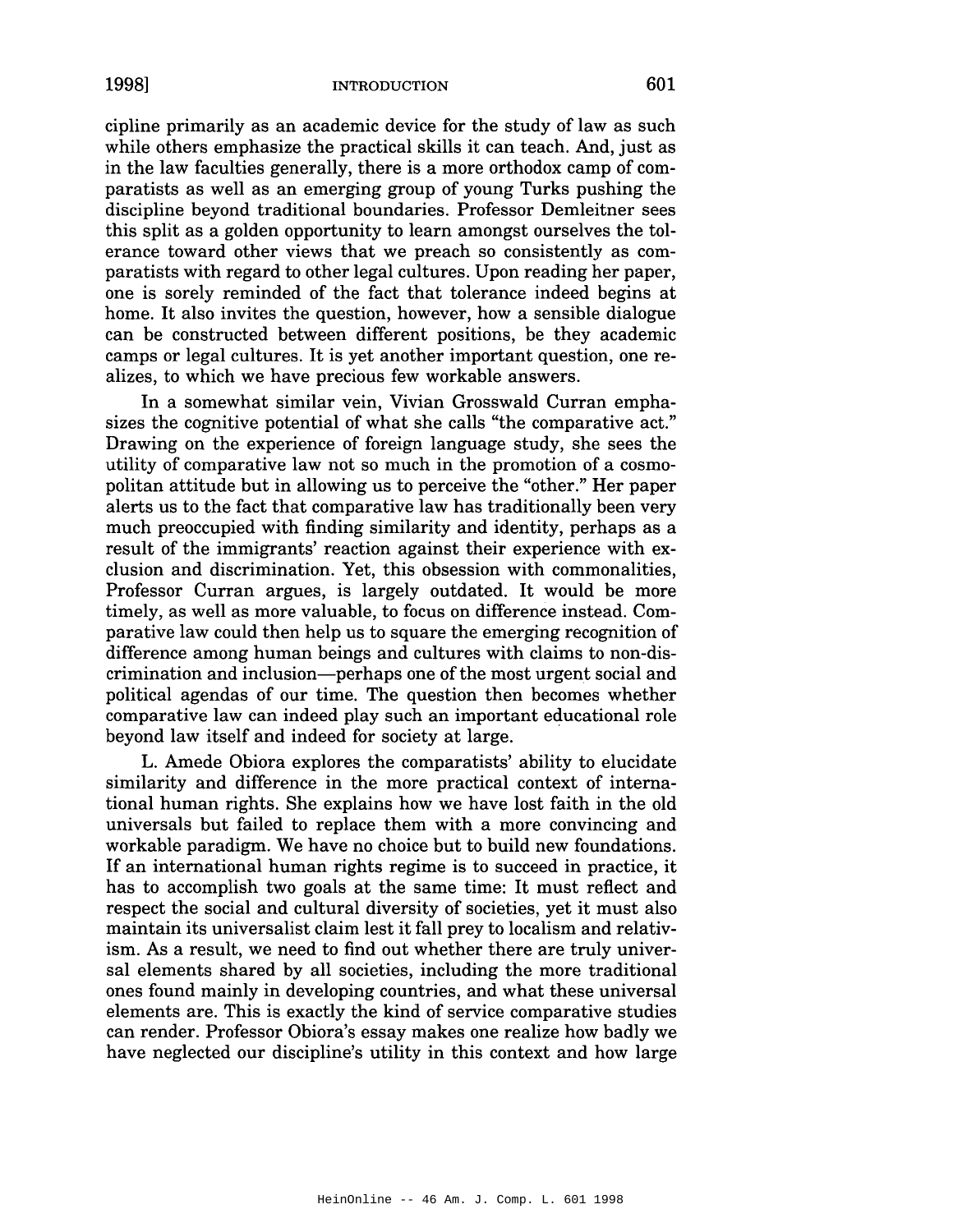cipline primarily as an academic device for the study of law as such while others emphasize the practical skills it can teach. And, just as in the law faculties generally, there is a more orthodox camp of comparatists as well as an emerging group of young Turks pushing the discipline beyond traditional boundaries. Professor Demleitner sees this split as a golden opportunity to learn amongst ourselves the tolerance toward other views that we preach so consistently as comparatists with regard to other legal cultures. Upon reading her paper,

one is sorely reminded of the fact that tolerance indeed begins at home. It also invites the question, however, how a sensible dialogue can be constructed between different positions, be they academic camps or legal cultures. It is yet another important question, one realizes, to which we have precious few workable answers.

In a somewhat similar vein, Vivian Grosswald Curran emphasizes the cognitive potential of what she calls "the comparative act." Drawing on the experience of foreign language study, she sees the utility of comparative law not so much in the promotion of a cosmopolitan attitude but in allowing us to perceive the "other." Her paper alerts us to the fact that comparative law has traditionally been very much preoccupied with finding similarity and identity, perhaps as a result of the immigrants' reaction against their experience with exclusion and discrimination. Yet, this obsession with commonalities, Professor Curran argues, is largely outdated. It would be more timely, as well as more valuable, to focus on difference instead. Comparative law could then help us to square the emerging recognition of difference among human beings and cultures with claims to non-discrimination and inclusion-perhaps one of the most urgent social and political agendas of our time. The question then becomes whether comparative law can indeed play such an important educational role beyond law itself and indeed for society at large.

L. Amede Obiora explores the comparatists' ability to elucidate similarity and difference in the more practical context of international human rights. She explains how we have lost faith in the old universals but failed to replace them with a more convincing and workable paradigm. We have no choice but to build new foundations. If an international human rights regime is to succeed in practice, it has to accomplish two goals at the same time: It must reflect and respect the social and cultural diversity of societies, yet it must also maintain its universalist claim lest it fall prey to localism and relativism. As a result, we need to find out whether there are truly universal elements shared by all societies, including the more traditional ones found mainly in developing countries, and what these universal elements are. This is exactly the kind of service comparative studies can render. Professor Obiora's essay makes one realize how badly we have neglected our discipline's utility in this context and how large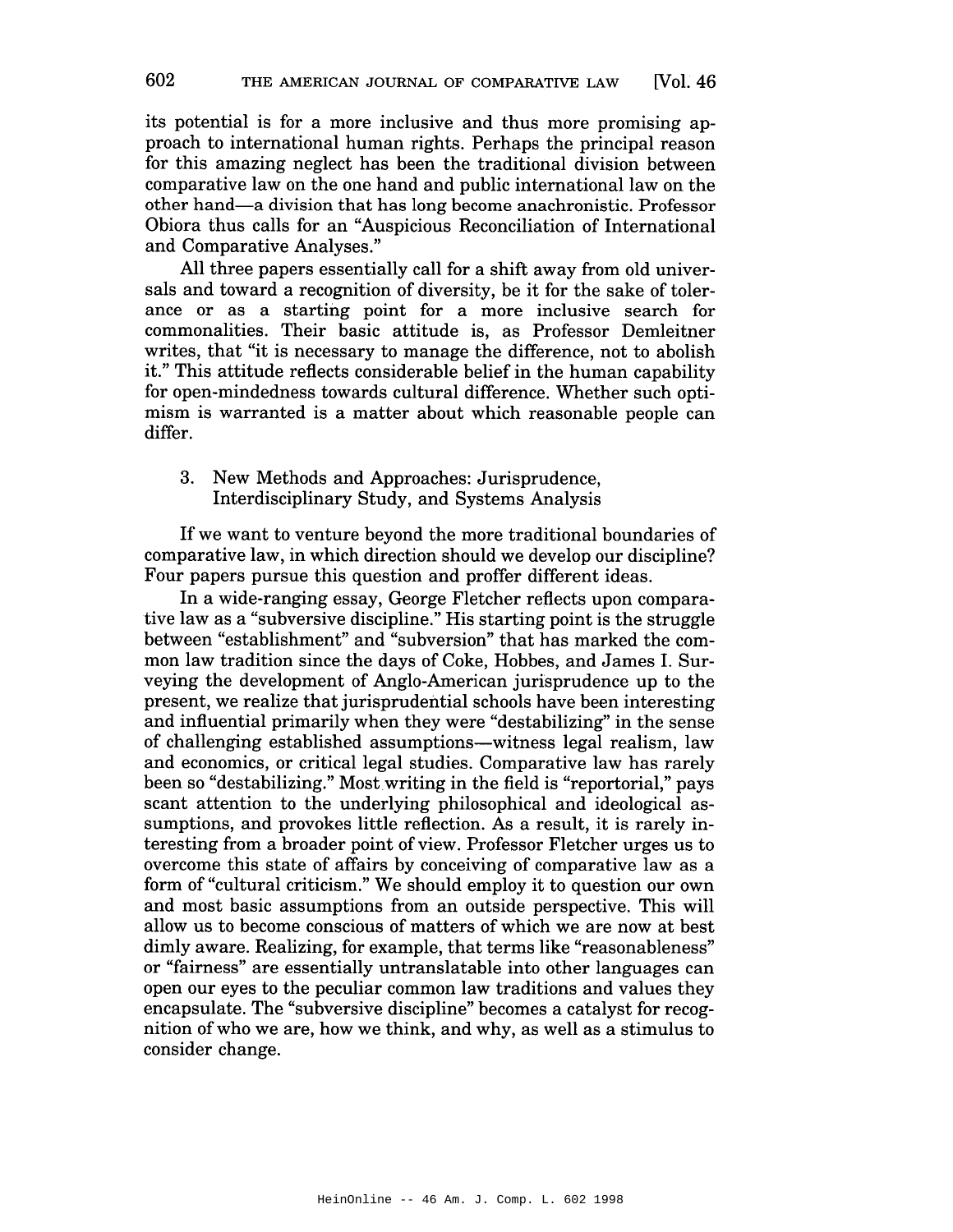its potential is for a more inclusive and thus more promising approach to international human rights. Perhaps the principal reason for this amazing neglect has been the traditional division between comparative law on the one hand and public international law on the other hand—a division that has long become anachronistic. Professor Obiora thus calls for an "Auspicious Reconciliation of International and Comparative Analyses."

602

All three papers essentially call for a shift away from old universals and toward a recognition of diversity, be it for the sake of tolerance or as a starting point for a more inclusive search for commonalities. Their basic attitude is, as Professor Demleitner writes, that "it is necessary to manage the difference, not to abolish it." This attitude reflects considerable belief in the human capability for open-mindedness towards cultural difference. Whether such optimism is warranted is a matter about which reasonable people can differ.

#### 3. New Methods and Approaches: Jurisprudence, Interdisciplinary Study, and Systems Analysis

If we want to venture beyond the more traditional boundaries of comparative law, in which direction should we develop our discipline? Four papers pursue this question and proffer different ideas.

In a wide-ranging essay, George Fletcher reflects upon comparative law as a "subversive discipline." His starting point is the struggle between "establishment" and "subversion" that has marked the common law tradition since the days of Coke, Hobbes, and James I. Surveying the development of Anglo-American jurisprudence up to the present, we realize that jurisprudential schools have been interesting and influential primarily when they were "destabilizing" in the sense of challenging established assumptions—witness legal realism, law and economics, or critical legal studies. Comparative law has rarely been so "destabilizing." Most writing in the field is "reportorial," pays scant attention to the underlying philosophical and ideological assumptions, and provokes little reflection. As a result, it is rarely interesting from a broader point of view. Professor Fletcher urges us to overcome this state of affairs by conceiving of comparative law as a form of "cultural criticism." We should employ it to question our own and most basic assumptions from an outside perspective. This will allow us to become conscious of matters of which we are now at best dimly aware. Realizing, for example, that terms like "reasonableness" or "fairness" are essentially untranslatable into other languages can open our eyes to the peculiar common law traditions and values they encapsulate. The "subversive discipline" becomes a catalyst for recognition of who we are, how we think, and why, as well as a stimulus to consider change.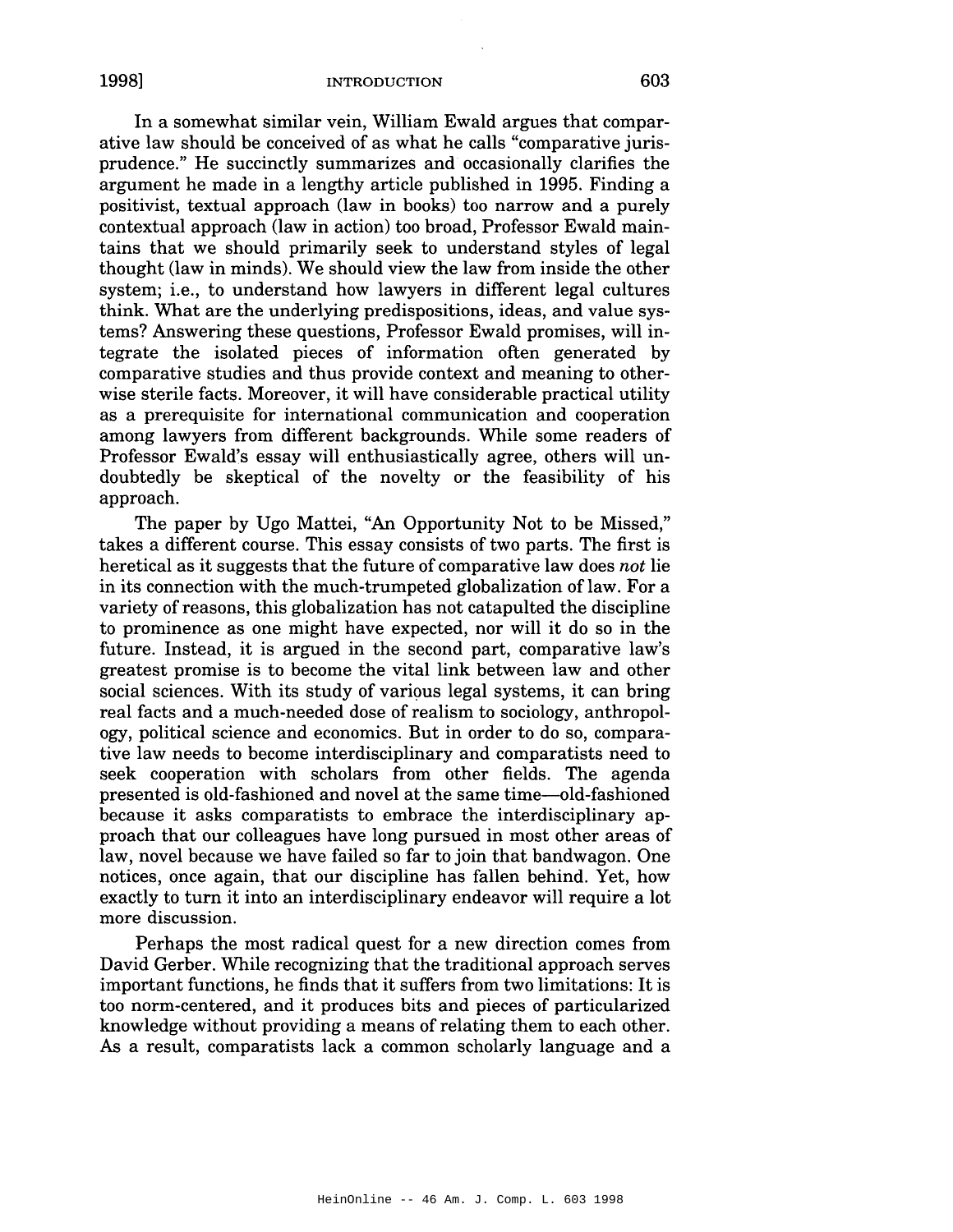19981

In a somewhat similar vein, William Ewald argues that comparative law should be conceived of as what he calls "comparative jurisprudence." He succinctly summarizes and occasionally clarifies the argument he made in a lengthy article published in 1995. Finding a positivist, textual approach (law in books) too narrow and a purely contextual approach (law in action) too broad, Professor Ewald maintains that we should primarily seek to understand styles of legal thought (law in minds). We should view the law from inside the other system; i.e., to understand how lawyers in different legal cultures think. What are the underlying predispositions, ideas, and value systems? Answering these questions, Professor Ewald promises, will integrate the isolated pieces of information often generated by comparative studies and thus provide context and meaning to otherwise sterile facts. Moreover, it will have considerable practical utility as a prerequisite for international communication and cooperation among lawyers from different backgrounds. While some readers of Professor Ewald's essay will enthusiastically agree, others will undoubtedly be skeptical of the novelty or the feasibility of his approach.

The paper by Ugo Mattei, "An Opportunity Not to be Missed," takes a different course. This essay consists of two parts. The first is heretical as it suggests that the future of comparative law does not lie in its connection with the much-trumpeted globalization of law. For a variety of reasons, this globalization has not catapulted the discipline to prominence as one might have expected, nor will it do so in the future. Instead, it is argued in the second part, comparative law's greatest promise is to become the vital link between law and other social sciences. With its study of various legal systems, it can bring real facts and a much-needed dose of realism to sociology, anthropology, political science and economics. But in order to do so, comparative law needs to become interdisciplinary and comparatists need to seek cooperation with scholars from other fields. The agenda presented is old-fashioned and novel at the same time—old-fashioned because it asks comparatists to embrace the interdisciplinary approach that our colleagues have long pursued in most other areas of law, novel because we have failed so far to join that bandwagon. One notices, once again, that our discipline has fallen behind. Yet, how exactly to turn it into an interdisciplinary endeavor will require a lot more discussion.

Perhaps the most radical quest for a new direction comes from David Gerber. While recognizing that the traditional approach serves important functions, he finds that it suffers from two limitations: It is too norm-centered, and it produces bits and pieces of particularized knowledge without providing a means of relating them to each other. As a result, comparatists lack a common scholarly language and a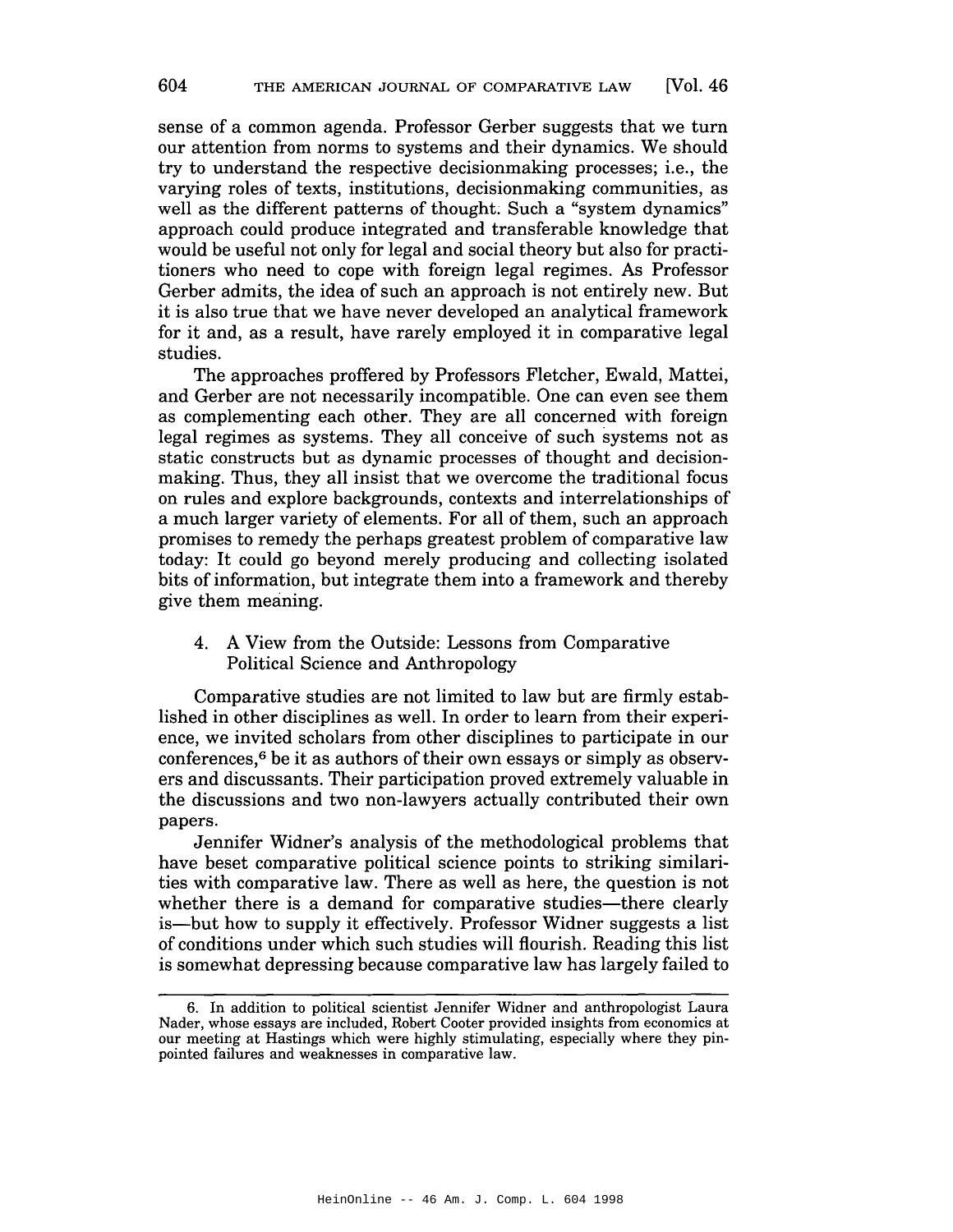sense of a common agenda. Professor Gerber suggests that we turn our attention from norms to systems and their dynamics. We should try to understand the respective decision making processes; i.e., the varying roles of texts, institutions, decision making communities, as well as the different patterns of thought. Such a "system dynamics" approach could produce integrated and transferable knowledge that would be useful not only for legal and social theory but also for practitioners who need to cope with foreign legal regimes. As Professor Gerber admits, the idea of such an approach is not entirely new. But it is also true that we have never developed an analytical framework for it and, as a result, have rarely employed it in comparative legal studies.

The approaches proffered by Professors Fletcher, Ewald, Mattei, and Gerber are not necessarily incompatible. One can even see them as complementing each other. They are all concerned with foreign legal regimes as systems. They all conceive of such systems not as static constructs but as dynamic processes of thought and decisionmaking. Thus, they all insist that we overcome the traditional focus on rules and explore backgrounds, contexts and interrelationships of a much larger variety of elements. For all of them, such an approach promises to remedy the perhaps greatest problem of comparative law today: It could go beyond merely producing and collecting isolated bits of information, but integrate them into a framework and thereby give them meaning.

A View from the Outside: Lessons from Comparative 4. Political Science and Anthropology

Comparative studies are not limited to law but are firmly established in other disciplines as well. In order to learn from their experience, we invited scholars from other disciplines to participate in our conferences,<sup>6</sup> be it as authors of their own essays or simply as observers and discussants. Their participation proved extremely valuable in the discussions and two non-lawyers actually contributed their own papers.

Jennifer Widner's analysis of the methodological problems that have beset comparative political science points to striking similarities with comparative law. There as well as here, the question is not whether there is a demand for comparative studies—there clearly is—but how to supply it effectively. Professor Widner suggests a list of conditions under which such studies will flourish. Reading this list is somewhat depressing because comparative law has largely failed to

<sup>6.</sup> In addition to political scientist Jennifer Widner and anthropologist Laura Nader, whose essays are included, Robert Cooter provided insights from economics at our meeting at Hastings which were highly stimulating, especially where they pinpointed failures and weaknesses in comparative law.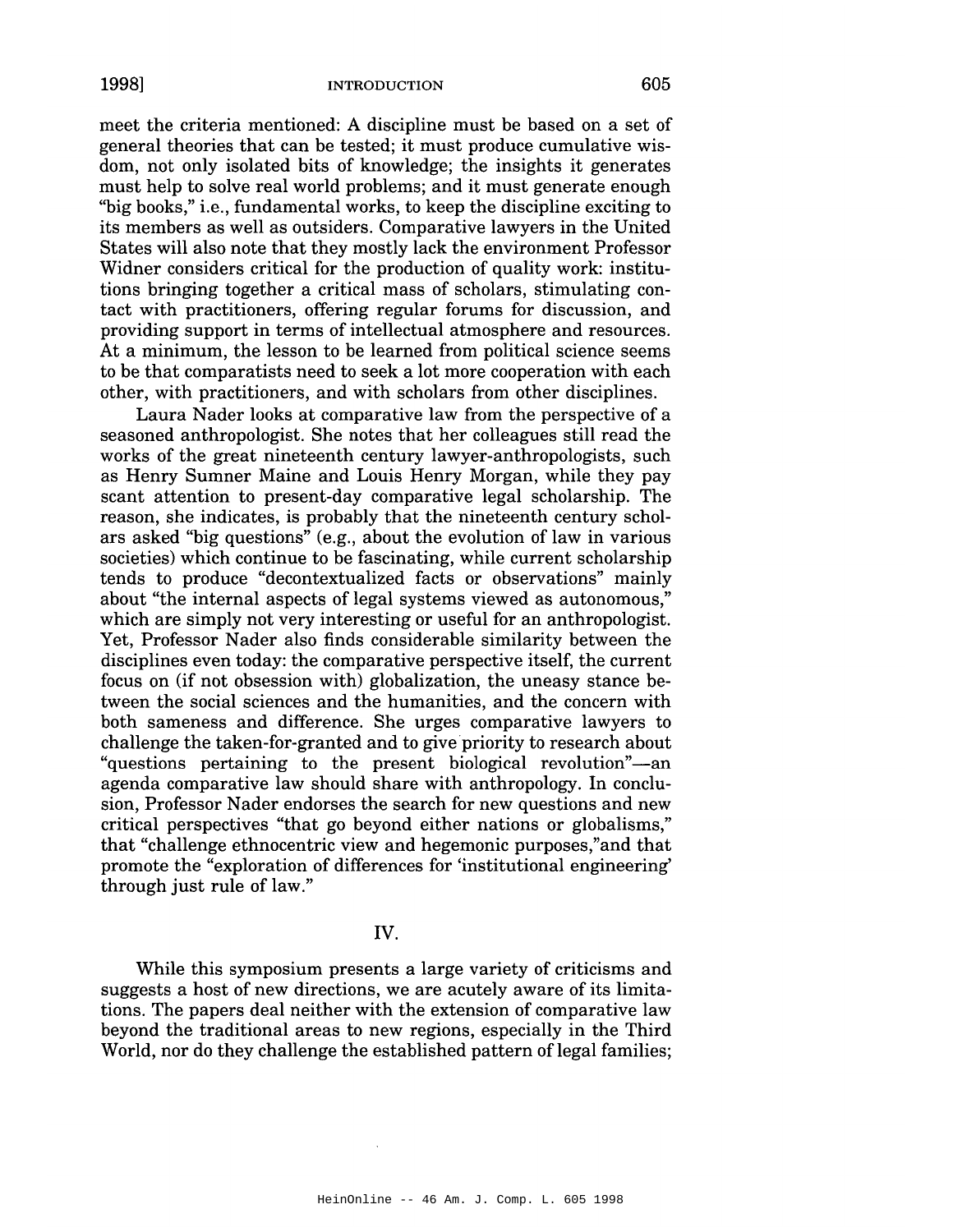meet the criteria mentioned: A discipline must be based on a set of general theories that can be tested; it must produce cumulative wisdom, not only isolated bits of knowledge; the insights it generates must help to solve real world problems; and it must generate enough "big books," i.e., fundamental works, to keep the discipline exciting to its members as well as outsiders. Comparative lawyers in the United States will also note that they mostly lack the environment Professor Widner considers critical for the production of quality work: institutions bringing together a critical mass of scholars, stimulating contact with practitioners, offering regular forums for discussion, and providing support in terms of intellectual atmosphere and resources. At a minimum, the lesson to be learned from political science seems to be that comparatists need to seek a lot more cooperation with each other, with practitioners, and with scholars from other disciplines.

Laura Nader looks at comparative law from the perspective of a seasoned anthropologist. She notes that her colleagues still read the works of the great nineteenth century lawyer-anthropologists, such as Henry Sumner Maine and Louis Henry Morgan, while they pay scant attention to present-day comparative legal scholarship. The reason, she indicates, is probably that the nineteenth century scholars asked "big questions" (e.g., about the evolution of law in various societies) which continue to be fascinating, while current scholarship tends to produce "decontextualized facts or observations" mainly about "the internal aspects of legal systems viewed as autonomous," which are simply not very interesting or useful for an anthropologist. Yet, Professor Nader also finds considerable similarity between the disciplines even today: the comparative perspective itself, the current focus on (if not obsession with) globalization, the uneasy stance between the social sciences and the humanities, and the concern with both sameness and difference. She urges comparative lawyers to challenge the taken-for-granted and to give priority to research about "questions pertaining to the present biological revolution"-an agenda comparative law should share with anthropology. In conclusion, Professor Nader endorses the search for new questions and new critical perspectives "that go beyond either nations or globalisms." that "challenge ethnocentric view and hegemonic purposes," and that promote the "exploration of differences for 'institutional engineering' through just rule of law."

#### IV.

While this symposium presents a large variety of criticisms and suggests a host of new directions, we are acutely aware of its limitations. The papers deal neither with the extension of comparative law beyond the traditional areas to new regions, especially in the Third World, nor do they challenge the established pattern of legal families;